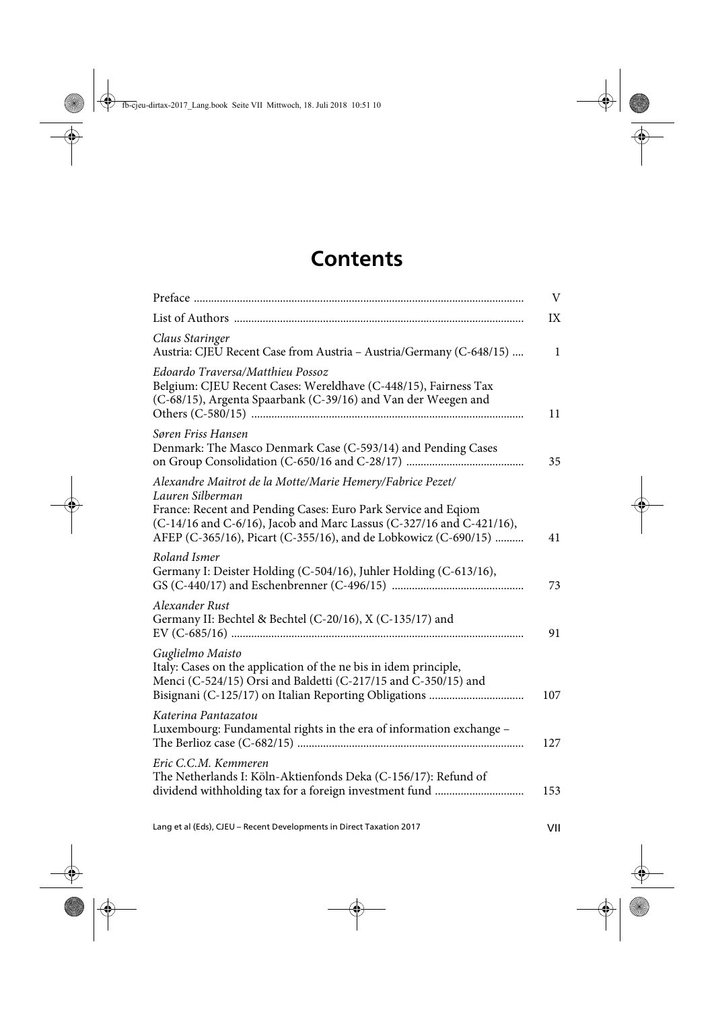## **Contents**

|                                                                                                                                                                                                                                                                                           | V            |
|-------------------------------------------------------------------------------------------------------------------------------------------------------------------------------------------------------------------------------------------------------------------------------------------|--------------|
|                                                                                                                                                                                                                                                                                           | IX           |
| Claus Staringer<br>Austria: CJEU Recent Case from Austria - Austria/Germany (C-648/15)                                                                                                                                                                                                    | $\mathbf{1}$ |
| Edoardo Traversa/Matthieu Possoz<br>Belgium: CJEU Recent Cases: Wereldhave (C-448/15), Fairness Tax<br>(C-68/15), Argenta Spaarbank (C-39/16) and Van der Weegen and                                                                                                                      | 11           |
| Søren Friss Hansen<br>Denmark: The Masco Denmark Case (C-593/14) and Pending Cases                                                                                                                                                                                                        | 35           |
| Alexandre Maitrot de la Motte/Marie Hemery/Fabrice Pezet/<br>Lauren Silberman<br>France: Recent and Pending Cases: Euro Park Service and Eqiom<br>(C-14/16 and C-6/16), Jacob and Marc Lassus (C-327/16 and C-421/16),<br>AFEP (C-365/16), Picart (C-355/16), and de Lobkowicz (C-690/15) | 41           |
| Roland Ismer<br>Germany I: Deister Holding (C-504/16), Juhler Holding (C-613/16),                                                                                                                                                                                                         | 73           |
| Alexander Rust<br>Germany II: Bechtel & Bechtel (C-20/16), X (C-135/17) and                                                                                                                                                                                                               | 91           |
| Guglielmo Maisto<br>Italy: Cases on the application of the ne bis in idem principle,<br>Menci (C-524/15) Orsi and Baldetti (C-217/15 and C-350/15) and                                                                                                                                    | 107          |
| Katerina Pantazatou<br>Luxembourg: Fundamental rights in the era of information exchange -                                                                                                                                                                                                | 127          |
| Eric C.C.M. Kemmeren<br>The Netherlands I: Köln-Aktienfonds Deka (C-156/17): Refund of                                                                                                                                                                                                    | 153          |